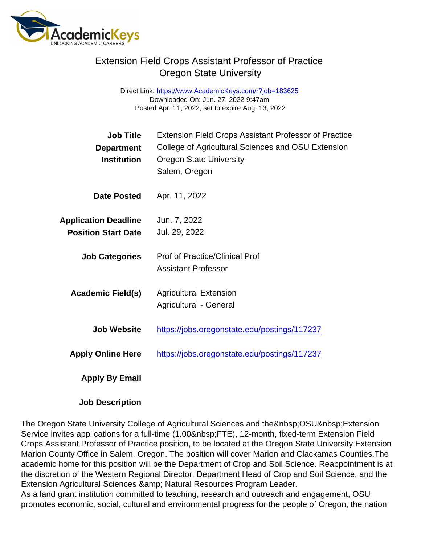## Extension Field Crops Assistant Professor of Practice Oregon State University

Direct Link: <https://www.AcademicKeys.com/r?job=183625> Downloaded On: Jun. 27, 2022 9:47am Posted Apr. 11, 2022, set to expire Aug. 13, 2022

| Job Title<br>Department<br>Institution                    | <b>Extension Field Crops Assistant Professor of Practice</b><br>College of Agricultural Sciences and OSU Extension<br><b>Oregon State University</b><br>Salem, Oregon |
|-----------------------------------------------------------|-----------------------------------------------------------------------------------------------------------------------------------------------------------------------|
| Date Posted                                               | Apr. 11, 2022                                                                                                                                                         |
| <b>Application Deadline</b><br><b>Position Start Date</b> | Jun. 7, 2022<br>Jul. 29, 2022                                                                                                                                         |
| <b>Job Categories</b>                                     | <b>Prof of Practice/Clinical Prof</b><br><b>Assistant Professor</b>                                                                                                   |
| Academic Field(s)                                         | <b>Agricultural Extension</b><br>Agricultural - General                                                                                                               |
| <b>Job Website</b>                                        | https://jobs.oregonstate.edu/postings/117237                                                                                                                          |
| <b>Apply Online Here</b>                                  | https://jobs.oregonstate.edu/postings/117237                                                                                                                          |
| Apply By Email                                            |                                                                                                                                                                       |

Job Description

The Oregon State University College of Agricultural Sciences and the OSU Extension Service invites applications for a full-time (1.00 FTE), 12-month, fixed-term Extension Field Crops Assistant Professor of Practice position, to be located at the Oregon State University Extension Marion County Office in Salem, Oregon. The position will cover Marion and Clackamas Counties.The academic home for this position will be the Department of Crop and Soil Science. Reappointment is at the discretion of the Western Regional Director, Department Head of Crop and Soil Science, and the Extension Agricultural Sciences & amp; Natural Resources Program Leader.

As a land grant institution committed to teaching, research and outreach and engagement, OSU promotes economic, social, cultural and environmental progress for the people of Oregon, the nation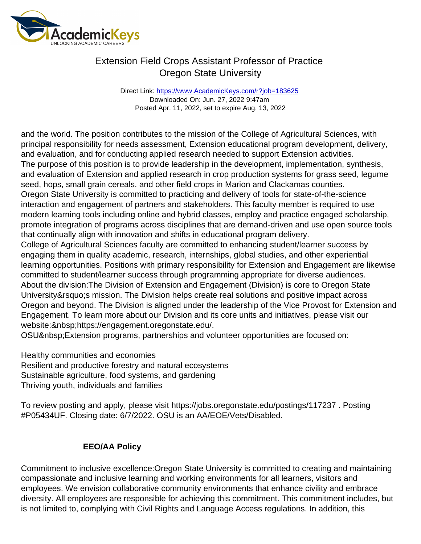## Extension Field Crops Assistant Professor of Practice Oregon State University

Direct Link: <https://www.AcademicKeys.com/r?job=183625> Downloaded On: Jun. 27, 2022 9:47am Posted Apr. 11, 2022, set to expire Aug. 13, 2022

and the world. The position contributes to the mission of the College of Agricultural Sciences, with principal responsibility for needs assessment, Extension educational program development, delivery, and evaluation, and for conducting applied research needed to support Extension activities. The purpose of this position is to provide leadership in the development, implementation, synthesis, and evaluation of Extension and applied research in crop production systems for grass seed, legume seed, hops, small grain cereals, and other field crops in Marion and Clackamas counties. Oregon State University is committed to practicing and delivery of tools for state-of-the-science interaction and engagement of partners and stakeholders. This faculty member is required to use modern learning tools including online and hybrid classes, employ and practice engaged scholarship, promote integration of programs across disciplines that are demand-driven and use open source tools that continually align with innovation and shifts in educational program delivery. College of Agricultural Sciences faculty are committed to enhancing student/learner success by engaging them in quality academic, research, internships, global studies, and other experiential learning opportunities. Positions with primary responsibility for Extension and Engagement are likewise committed to student/learner success through programming appropriate for diverse audiences. About the division:The Division of Extension and Engagement (Division) is core to Oregon State University' smission. The Division helps create real solutions and positive impact across Oregon and beyond. The Division is aligned under the leadership of the Vice Provost for Extension and

Engagement. To learn more about our Division and its core units and initiatives, please visit our website: https://engagement.oregonstate.edu/.

OSU Extension programs, partnerships and volunteer opportunities are focused on:

Healthy communities and economies Resilient and productive forestry and natural ecosystems Sustainable agriculture, food systems, and gardening Thriving youth, individuals and families

To review posting and apply, please visit https://jobs.oregonstate.edu/postings/117237 . Posting #P05434UF. Closing date: 6/7/2022. OSU is an AA/EOE/Vets/Disabled.

## EEO/AA Policy

Commitment to inclusive excellence:Oregon State University is committed to creating and maintaining compassionate and inclusive learning and working environments for all learners, visitors and employees. We envision collaborative community environments that enhance civility and embrace diversity. All employees are responsible for achieving this commitment. This commitment includes, but is not limited to, complying with Civil Rights and Language Access regulations. In addition, this